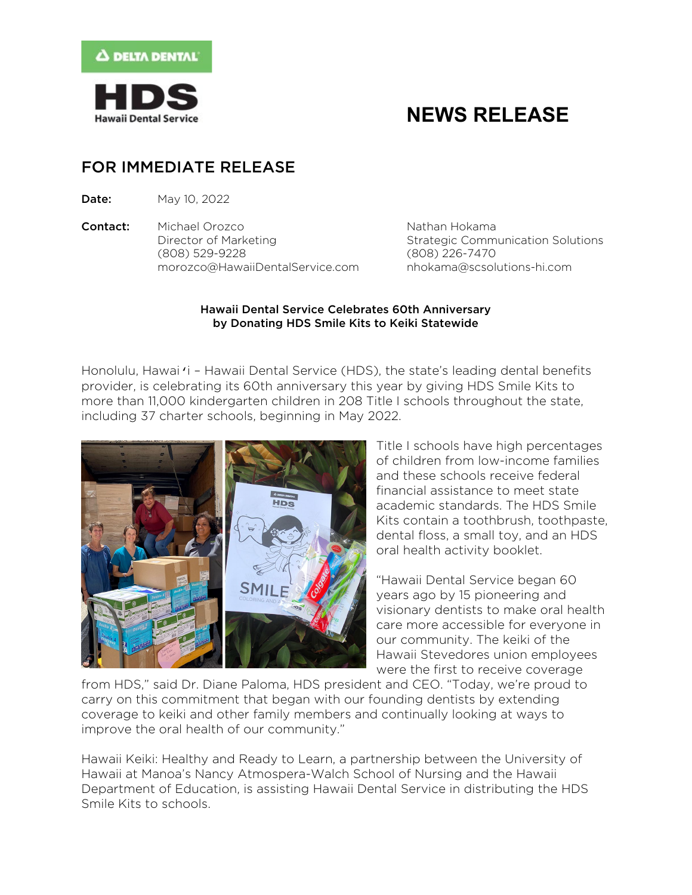

# **NEWS RELEASE**

### FOR IMMEDIATE RELEASE

**Date:** May 10, 2022

**Contact:** Michael Orozco Nathan Hokama Director of Marketing Theorem Strategic Communication Solutions (808) 529-9228 (808) 226-7470 [morozco@HawaiiDentalService.com](mailto:morozco@HawaiiDentalService.com) [nhokama@scsolutions-hi.com](mailto:nhokama@scsolutions-hi.com)

### Hawaii Dental Service Celebrates 60th Anniversary by Donating HDS Smile Kits to Keiki Statewide

Honolulu, Hawaiʻi – Hawaii Dental Service (HDS), the state's leading dental benefits provider, is celebrating its 60th anniversary this year by giving HDS Smile Kits to more than 11,000 kindergarten children in 208 Title I schools throughout the state, including 37 charter schools, beginning in May 2022.



Title I schools have high percentages of children from low-income families and these schools receive federal financial assistance to meet state academic standards. The HDS Smile Kits contain a toothbrush, toothpaste, dental floss, a small toy, and an HDS oral health activity booklet.

"Hawaii Dental Service began 60 years ago by 15 pioneering and visionary dentists to make oral health care more accessible for everyone in our community. The keiki of the Hawaii Stevedores union employees were the first to receive coverage

from HDS," said Dr. Diane Paloma, HDS president and CEO. "Today, we're proud to carry on this commitment that began with our founding dentists by extending coverage to keiki and other family members and continually looking at ways to improve the oral health of our community."

Hawaii Keiki: Healthy and Ready to Learn, a partnership between the University of Hawaii at Manoa's Nancy Atmospera-Walch School of Nursing and the Hawaii Department of Education, is assisting Hawaii Dental Service in distributing the HDS Smile Kits to schools.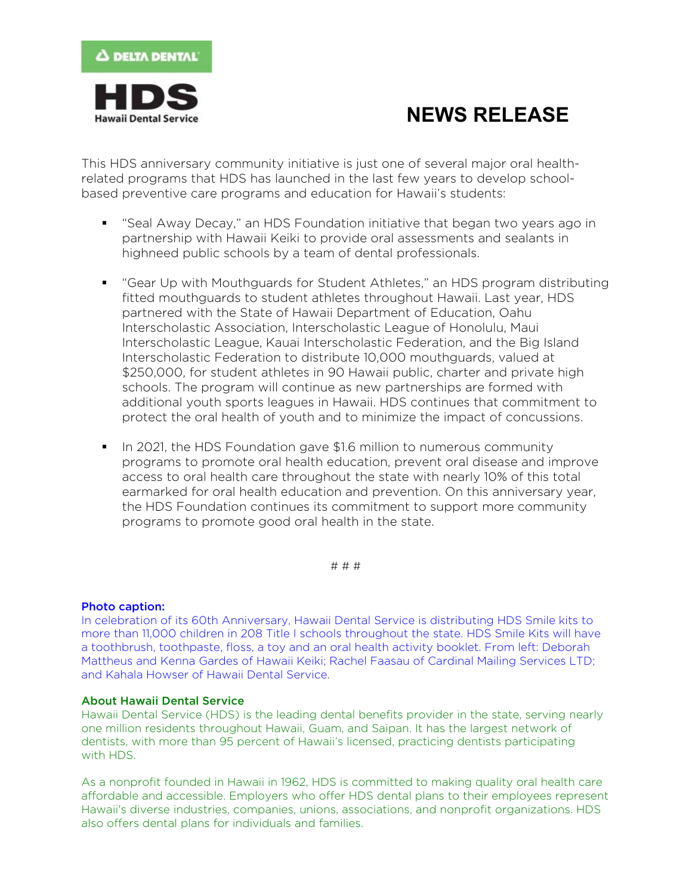

# **NEWS RELEASE**

This HDS anniversary community initiative is just one of several major oral healthrelated programs that HDS has launched in the last few years to develop schoolbased preventive care programs and education for Hawaii's students:

- "Seal Away Decay," an HDS Foundation initiative that began two years ago in partnership with Hawaii Keiki to provide oral assessments and sealants in highneed public schools by a team of dental professionals.
- "Gear Up with Mouthguards for Student Athletes," an HDS program distributing fitted mouthguards to student athletes throughout Hawaii. Last year, HDS partnered with the State of Hawaii Department of Education, Oahu Interscholastic Association, Interscholastic League of Honolulu, Maui Interscholastic League, Kauai Interscholastic Federation, and the Big Island Interscholastic Federation to distribute 10,000 mouthguards, valued at \$250,000, for student athletes in 90 Hawaii public, charter and private high schools. The program will continue as new partnerships are formed with additional youth sports leagues in Hawaii. HDS continues that commitment to protect the oral health of youth and to minimize the impact of concussions.
- In 2021, the HDS Foundation gave \$1.6 million to numerous community programs to promote oral health education, prevent oral disease and improve access to oral health care throughout the state with nearly 10% of this total earmarked for oral health education and prevention. On this anniversary year, the HDS Foundation continues its commitment to support more community programs to promote good oral health in the state.

# # #

#### Photo caption:

In celebration of its 60th Anniversary, Hawaii Dental Service is distributing HDS Smile kits to more than 11,000 children in 208 Title I schools throughout the state. HDS Smile Kits will have a toothbrush, toothpaste, floss, a toy and an oral health activity booklet. From left: Deborah Mattheus and Kenna Gardes of Hawaii Keiki; Rachel Faasau of Cardinal Mailing Services LTD; and Kahala Howser of Hawaii Dental Service.

#### About Hawaii Dental Service

Hawaii Dental Service (HDS) is the leading dental benefits provider in the state, serving nearly one million residents throughout Hawaii, Guam, and Saipan. It has the largest network of dentists, with more than 95 percent of Hawaii's licensed, practicing dentists participating with HDS.

As a nonprofit founded in Hawaii in 1962, HDS is committed to making quality oral health care affordable and accessible. Employers who offer HDS dental plans to their employees represent Hawaii's diverse industries, companies, unions, associations, and nonprofit organizations. HDS also offers dental plans for individuals and families.